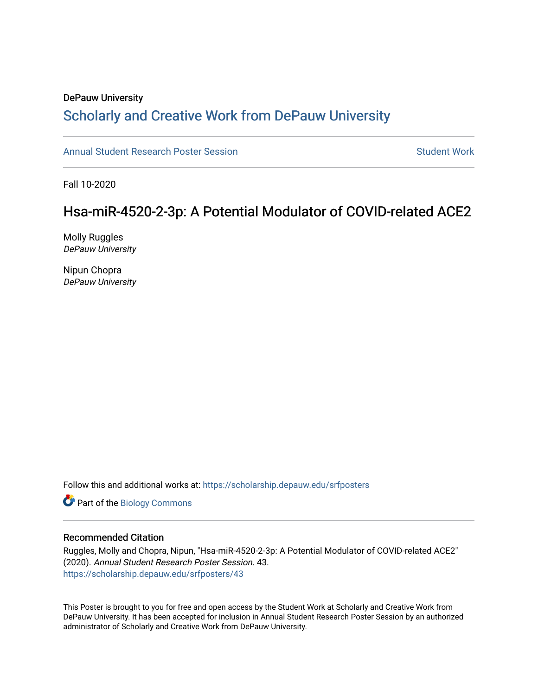#### DePauw University Scholarly and [Creative Work from DePauw Univ](https://scholarship.depauw.edu/)ersity

[Annual Student Research Poster Session](https://scholarship.depauw.edu/srfposters) Student Work

Fall 10-2020

#### Hsa-miR-4520-2-3p: A Potential Modulator of COVID-related ACE2

Molly Ruggles DePauw University

Nipun Chopra DePauw University

Follow this and additional works at: [https://scholarship.depauw.edu/srfposters](https://scholarship.depauw.edu/srfposters?utm_source=scholarship.depauw.edu%2Fsrfposters%2F43&utm_medium=PDF&utm_campaign=PDFCoverPages) 

Part of the [Biology Commons](https://network.bepress.com/hgg/discipline/41?utm_source=scholarship.depauw.edu%2Fsrfposters%2F43&utm_medium=PDF&utm_campaign=PDFCoverPages) 

#### Recommended Citation

Ruggles, Molly and Chopra, Nipun, "Hsa-miR-4520-2-3p: A Potential Modulator of COVID-related ACE2" (2020). Annual Student Research Poster Session. 43. [https://scholarship.depauw.edu/srfposters/43](https://scholarship.depauw.edu/srfposters/43?utm_source=scholarship.depauw.edu%2Fsrfposters%2F43&utm_medium=PDF&utm_campaign=PDFCoverPages)

This Poster is brought to you for free and open access by the Student Work at Scholarly and Creative Work from DePauw University. It has been accepted for inclusion in Annual Student Research Poster Session by an authorized administrator of Scholarly and Creative Work from DePauw University.